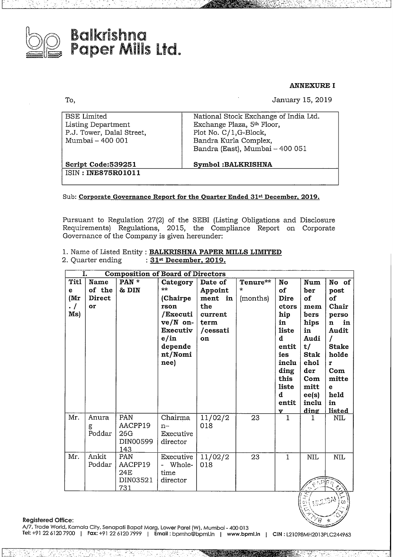

To,

# **Balkrishna<br>Paper Mills Ltd.**

**ANNEXURE I** 

January 15, 2019

| <b>BSE</b> Limited<br>Listing Department<br>P.J. Tower, Dalal Street,<br>Mumbai - 400 001 | National Stock Exchange of India Ltd.<br>Exchange Plaza, 5 <sup>th</sup> Floor,<br>Plot No. C/1, G-Block,<br>Bandra Kurla Complex,<br>Bandra (East), Mumbai - 400 051 |
|-------------------------------------------------------------------------------------------|-----------------------------------------------------------------------------------------------------------------------------------------------------------------------|
| Script Code:539251<br>ISIN: INE875R01011                                                  | <b>Symbol:BALKRISHNA</b>                                                                                                                                              |

Sub: Corporate Governance Report for the Quarter Ended 31<sup>st</sup> December, 2019.

Pursuant to Regulation 27(2) of the SEBI (Listing Obligations and Disclosure Requirements) Regulations, 2015, the Compliance Report on Corporate Governance of the Company is given hereunder:

|                   |  | 1. Name of Listed Entity: BALKRISHNA PAPER MILLS LIMITED |  |  |
|-------------------|--|----------------------------------------------------------|--|--|
| 2. Quarter ending |  | : $31st$ December, 2019.                                 |  |  |

| <b>Composition of Board of Directors</b><br>1. |        |                |                                    |          |          |              |              |                    |
|------------------------------------------------|--------|----------------|------------------------------------|----------|----------|--------------|--------------|--------------------|
| <b>Titl</b>                                    | Name   | PAN *          | Category                           | Date of  | Tenure** | No           | Num          | No of              |
| e                                              | of the | & DIN          | **                                 | Appoint  | $\star$  | of           | ber          | post               |
| (Mr)                                           | Direct |                | (Chairpe)                          | ment in  | (months) | Dire         | οf           | of                 |
| $\cdot$ /                                      | or     |                | rson                               | the      |          | ctors        | mem          | Chair              |
| Ms)                                            |        |                | /Executi                           | current  |          | hip          | bers         | perso              |
|                                                |        |                | $ve/N$ on-                         | term     |          | in           | hips         | in<br>$\mathbf{n}$ |
|                                                |        |                | Executiv                           | /cessati |          | liste        | in           | Audit              |
|                                                |        |                | e/in                               | on       |          | đ            | Audi         |                    |
|                                                |        |                | depende                            |          |          | entit        | t/           | <b>Stake</b>       |
|                                                |        |                | nt/Nomi                            |          |          | ies          | <b>Stak</b>  | holde              |
|                                                |        |                | nee)                               |          |          | inclu        | ehol         | r                  |
|                                                |        |                |                                    |          |          | ding         | der          | Com                |
|                                                |        |                |                                    |          |          | this         | $_{\rm Com}$ | mitte              |
|                                                |        |                |                                    |          |          | liste        | mitt         | e                  |
|                                                |        |                |                                    |          |          | d            | ee(s)        | held               |
|                                                |        |                |                                    |          |          | entit        | inclu        | in                 |
|                                                |        |                |                                    |          |          | v            | <u>ding</u>  | <u>listed</u>      |
| Mr.                                            | Anura  | PAN            | Chairma                            | 11/02/2  | 23       | $\mathbf{1}$ | 1            | NIL                |
|                                                | g      | AACPP19        | $n-$                               | 018      |          |              |              |                    |
|                                                | Poddar | 26G            | Executive                          |          |          |              |              |                    |
|                                                |        | DIN00599       | director                           |          |          |              |              |                    |
|                                                |        | 143            |                                    |          |          |              |              |                    |
| Mr.                                            | Ankit  | PAN            | Executive                          | 11/02/2  | 23       | $\mathbf{1}$ | <b>NIL</b>   | <b>NIL</b>         |
|                                                | Poddar | AACPP19<br>24E | Whole-<br>$\overline{\phantom{a}}$ | 018      |          |              |              |                    |
|                                                |        | DIN03521       | time                               |          |          |              |              |                    |
|                                                |        | 731            | director                           |          |          |              |              |                    |

**Registered Office:** 

A/7, Trade World, Kamala City, Senapati Bapat Marg, Lower Parel (W), Mumbai - 400 013

Tel: +91 22 6120 7900 | Fax: +91 22 6120 7999 | Email: bpmho@bpml.in | www.bpml.in | CIN: L21098MH2013PLC244963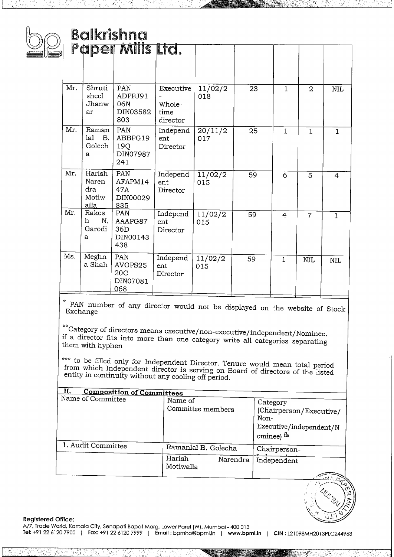|          |                                         | <b>Balkrishna</b>                                                                                                                                                                                                                                                                                                                                                                        |                                         |                   |    |                                                                                        |                |                |
|----------|-----------------------------------------|------------------------------------------------------------------------------------------------------------------------------------------------------------------------------------------------------------------------------------------------------------------------------------------------------------------------------------------------------------------------------------------|-----------------------------------------|-------------------|----|----------------------------------------------------------------------------------------|----------------|----------------|
|          |                                         | Paper Mills Ltd.                                                                                                                                                                                                                                                                                                                                                                         |                                         |                   |    |                                                                                        |                |                |
| Mr.      | Shruti<br>sheel<br>Jhanw<br>ar          | PAN<br>ADPPJ91<br>06N<br>DIN03582<br>803                                                                                                                                                                                                                                                                                                                                                 | Executive<br>Whole-<br>time<br>director | 11/02/2<br>018    | 23 | 1                                                                                      | $\overline{2}$ | <b>NIL</b>     |
| Mr.      | Raman<br>lal<br>В.<br>Golech<br>a       | PAN<br>ABBPG19<br>19Q<br>DIN07987<br>241                                                                                                                                                                                                                                                                                                                                                 | Independ<br>ent<br>Director             | 20/11/2<br>017    | 25 | $\mathbf{1}$                                                                           | $\mathbf{1}$   | 1              |
| Mr.      | Harish<br>Naren<br>dra<br>Motiw<br>alla | PAN<br>AFAPM14<br>47A<br>DIN00029<br>835                                                                                                                                                                                                                                                                                                                                                 | Independ<br>ent<br>Director             | 11/02/2<br>015    | 59 | 6                                                                                      | 5              | $\overline{4}$ |
| Mr.      | Rakes<br>h.<br>N.<br>Garodi<br>a        | PAN<br>AAAPG87<br>36D<br>DIN00143<br>438                                                                                                                                                                                                                                                                                                                                                 | Independ<br>ent<br>Director             | 11/02/2<br>015    | 59 | $\overline{4}$                                                                         | $\overline{7}$ | 1              |
| Ms.      | Meghn<br>a Shah                         | PAN<br>AVOPS25<br>20 <sub>C</sub><br>DIN07081<br>068                                                                                                                                                                                                                                                                                                                                     | Independ<br>ent<br>Director             | 11/02/2<br>015    | 59 | $\mathbf{1}$                                                                           | <b>NIL</b>     | <b>NIL</b>     |
| Exchange |                                         | PAN number of any director would not be displayed on the website of Stock                                                                                                                                                                                                                                                                                                                |                                         |                   |    |                                                                                        |                |                |
|          | them with hyphen                        | **Category of directors means executive/non-executive/independent/Nominee.<br>if a director fits into more than one category write all categories separating<br>*** to be filled only for Independent Director. Tenure would mean total period<br>from which Independent director is serving on Board of directors of the listed<br>entity in continuity without any cooling off period. |                                         |                   |    |                                                                                        |                |                |
| П.       | Name of Committee                       | <b>Composition of Committees</b>                                                                                                                                                                                                                                                                                                                                                         | Name of                                 | Committee members |    | Category<br>(Chairperson/Executive/<br>Non-<br>Executive/independent/N<br>ominee) $\&$ |                |                |

**Registered Office:**<br>A/7, Trade World, Kamala City, Senapati Bapat Marg, Lower Parel (W), Mumbai - 400 013 **Tel:** +91 <sup>22</sup> <sup>6120</sup> <sup>7900</sup> <sup>I</sup> **Fax:** +91 <sup>22</sup> <sup>6120</sup> <sup>7999</sup> <sup>I</sup> **Email :** bpmho@bpml.in [ **www.bpml.mn CIN :** L21098MH2013PLC244963

ÜΙ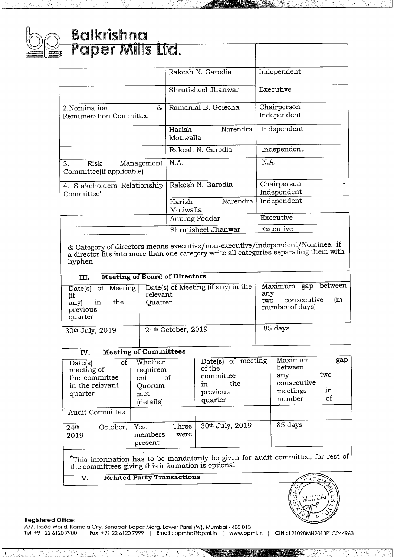## Balkrishna<br>Papar Mill panaisma<br>Paper Mills Lfd.

| Paper milis Ltd.                                                                                                                                                                           |                                                                                       |                                                                                          |  |
|--------------------------------------------------------------------------------------------------------------------------------------------------------------------------------------------|---------------------------------------------------------------------------------------|------------------------------------------------------------------------------------------|--|
|                                                                                                                                                                                            | Rakesh N. Garodia                                                                     | Independent                                                                              |  |
|                                                                                                                                                                                            | Shrutisheel Jhanwar                                                                   | Executive                                                                                |  |
| 2. Nomination<br>&<br>Remuneration Committee                                                                                                                                               | Ramanlal B. Golecha                                                                   | Chairperson<br>Independent                                                               |  |
|                                                                                                                                                                                            | Narendra<br>Harish<br>Motiwalla                                                       | Independent                                                                              |  |
|                                                                                                                                                                                            | Rakesh N. Garodia                                                                     | Independent                                                                              |  |
| 3.<br>Risk<br>Management<br>Committee(if applicable)                                                                                                                                       | N.A.                                                                                  | N.A.                                                                                     |  |
| 4. Stakeholders Relationship<br>Committee'                                                                                                                                                 | Rakesh N. Garodia                                                                     | Chairperson<br>Independent                                                               |  |
|                                                                                                                                                                                            | Narendra<br>Harish<br>Motiwalla                                                       | Independent                                                                              |  |
|                                                                                                                                                                                            | Anurag Poddar                                                                         | Executive                                                                                |  |
|                                                                                                                                                                                            | Shrutisheel Jhanwar                                                                   | Executive                                                                                |  |
| & Category of directors means executive/non-executive/independent/Nominee. if<br>a director fits into more than one category write all categories separating them with<br>hyphen           |                                                                                       |                                                                                          |  |
| <b>Meeting of Board of Directors</b><br>III.                                                                                                                                               |                                                                                       |                                                                                          |  |
| of Meeting<br>$\overline{\text{Date}}(s)$<br>relevant<br>(if<br>the<br>Quarter<br>$\mathop{\mathrm{in}}$<br>any) -<br>previous<br>quarter                                                  | Date(s) of Meeting (if any) in the                                                    | between<br>Maximum gap<br>any<br>consecutive<br>(in<br>two<br>number of days)            |  |
| 30th July, 2019                                                                                                                                                                            | 24th October, 2019                                                                    | 85 days                                                                                  |  |
| <b>Meeting of Committees</b><br>IV.                                                                                                                                                        |                                                                                       |                                                                                          |  |
| Whether<br>$\overline{\text{of}}$<br>$\overline{Date}(s)$<br>meeting of<br>requirem<br>the committee<br>ent<br>in the relevant<br>Quorum<br>quarter<br>met<br>(details)<br>Audit Committee | $Date(s)$ of meeting<br>of the<br>committee<br>of<br>the<br>in<br>previous<br>quarter | Maximum<br>gap<br>between<br>two<br>any<br>consecutive<br>meetings<br>in<br>οf<br>number |  |
|                                                                                                                                                                                            |                                                                                       |                                                                                          |  |

<u>I- JAKAT BATURAN DARI BATU ASAL BATU BATU DI KELILAHAN KERANG BATU DI BADAN D</u>

 $\frac{24}{4}$  October, Yes. Three  $30^{th}$  July, 2019 85 days<br>2019 members were members present  $*$ This information has to be mandatorily be given for audit committee, for rest of

This information has to be mandatorily be given for audit committee, for reference the committees giving this information is optional<br> **V. Related Party Transactions** 



A77, Irade world, Kamaid City, Senapati Bapat Marg, Lower Parel (W), Mumbai - 400 013<br><mark>Tel: +</mark>91 22 6120 7900 | Fax: +91 22 6120 7999 | Email : bpmho@bpml.in | w<mark>ww.bpml.in | CIN</mark> : L21098MH2013PLC244963 A/7, Trade World, Kamala City, Senapati Bapat Marg, Lower Pare! (W), Mumbai - <sup>400</sup> <sup>013</sup>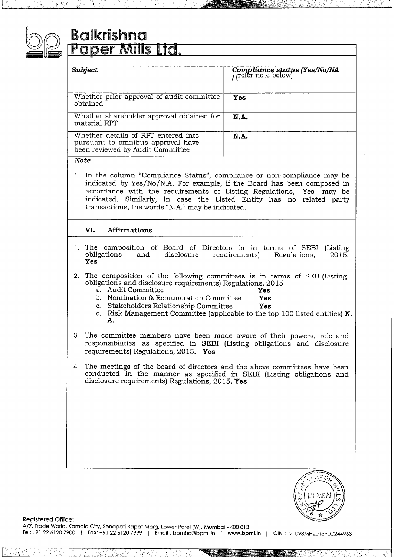

## Balkrishna and Control and Control and Control and The Top Italian States and Top Italian States and Top Italia

| Subject                                                                                                      | Compliance status (Yes/No/NA)<br>(refer note below) |
|--------------------------------------------------------------------------------------------------------------|-----------------------------------------------------|
| Whether prior approval of audit committee<br>obtained                                                        | Yes                                                 |
| Whether shareholder approval obtained for<br>material RPT                                                    | <b>N.A.</b>                                         |
| Whether details of RPT entered into<br>pursuant to omnibus approval have<br>been reviewed by Audit Committee | N.A.                                                |

#### *Note*

1. In the column "Compliance Status", compliance or non-compliance may be indicated by Yes/No/N.A. For example, if the Board has been composed in accordance with the requirements of Listing Regulations, "Yes" may be indicated. Similarly, in case the Listed Entity has no related party transactions, the words "N.A." may be indicated.

### **VI. Affirmations**

- 1. The composition of Board of Directors is in terms of SEBI (Listing obligations and disclosure requirements) Regulations, 2015. **Yes**
- 2. The composition of the following committees is in terms of SEBI(Listing obligations and disclosure requirements) Regulations, 2015<br>a. Audit Committee
	-
	- a. Audit Committee **The Committee State**<br>**b.** Nomination & Remuneration Committee **Yes**
	- b. Nomination & Remuneration Committee **Yes** c. Stakeholders Relationship Committee
	- d. Risk Management Committee (applicable to the top 100 listed entities) **N. A.**
- 3. The committee members have been made aware of their powers, role and responsibilities as specified in SEBI (Listing obligations and disclosure requirements) Regulations, 2015. **Yes**
- 4. The meetings of the board of directors and the above committees have been conducted in the manner as specified in SEBI (Listing obligations and disclosure requirements) Regulations, 2015. **Yes**



·.1

**Registered Office:**

A/7, Trade World, Kamala City, Senapati Bapat Marg, Lower Parel (W), Mumbai-400 <sup>013</sup> Tel:+912261207900 <sup>I</sup> Fax:+912261207999 ] Email : bpmho@bpml.in [ **www.bpml.in CIN :** L21098MH2013PLC244963